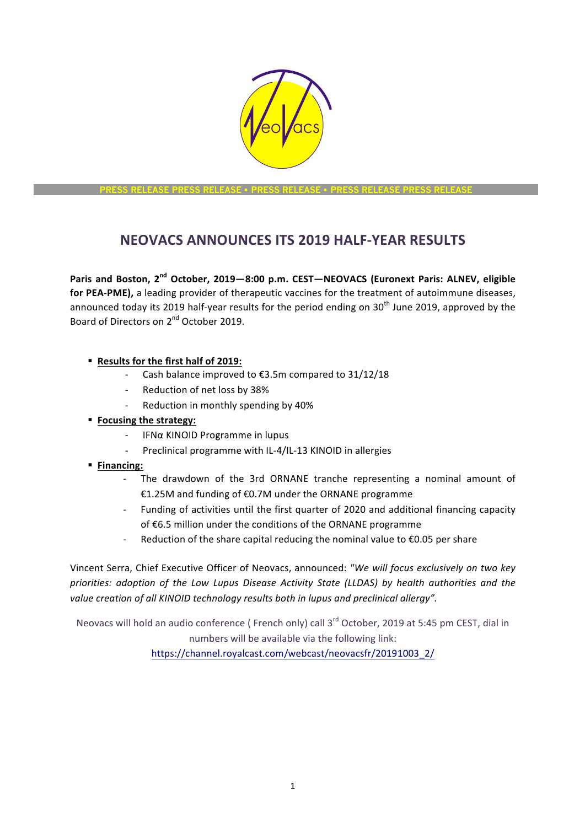

**PRESS RELEASE PRESS RELEASE** • **PRESS RELEASE** • **PRESS RELEASE PRESS RELEASE**

# **NEOVACS ANNOUNCES ITS 2019 HALF-YEAR RESULTS**

Paris and Boston, 2<sup>nd</sup> October, 2019-8:00 p.m. CEST-NEOVACS (Euronext Paris: ALNEV, eligible for PEA-PME), a leading provider of therapeutic vaccines for the treatment of autoimmune diseases, announced today its 2019 half-year results for the period ending on  $30<sup>th</sup>$  June 2019, approved by the Board of Directors on 2<sup>nd</sup> October 2019.

- § **Results for the first half of 2019:**
	- Cash balance improved to  $£3.5$ m compared to  $31/12/18$
	- Reduction of net loss by 38%
	- Reduction in monthly spending by 40%
- **Focusing the strategy:** 
	- IFNα KINOID Programme in lupus
	- Preclinical programme with IL-4/IL-13 KINOID in allergies
- § **Financing:** 
	- The drawdown of the 3rd ORNANE tranche representing a nominal amount of €1.25M and funding of €0.7M under the ORNANE programme
	- Funding of activities until the first quarter of 2020 and additional financing capacity of €6.5 million under the conditions of the ORNANE programme
	- Reduction of the share capital reducing the nominal value to  $\epsilon$ 0.05 per share

Vincent Serra, Chief Executive Officer of Neovacs, announced: "We will focus exclusively on two key *priorities: adoption of the Low Lupus Disease Activity State (LLDAS) by health authorities and the value creation of all KINOID technology results both in lupus and preclinical allergy".* 

Neovacs will hold an audio conference (French only) call 3<sup>rd</sup> October, 2019 at 5:45 pm CEST, dial in numbers will be available via the following link: https://channel.royalcast.com/webcast/neovacsfr/20191003\_2/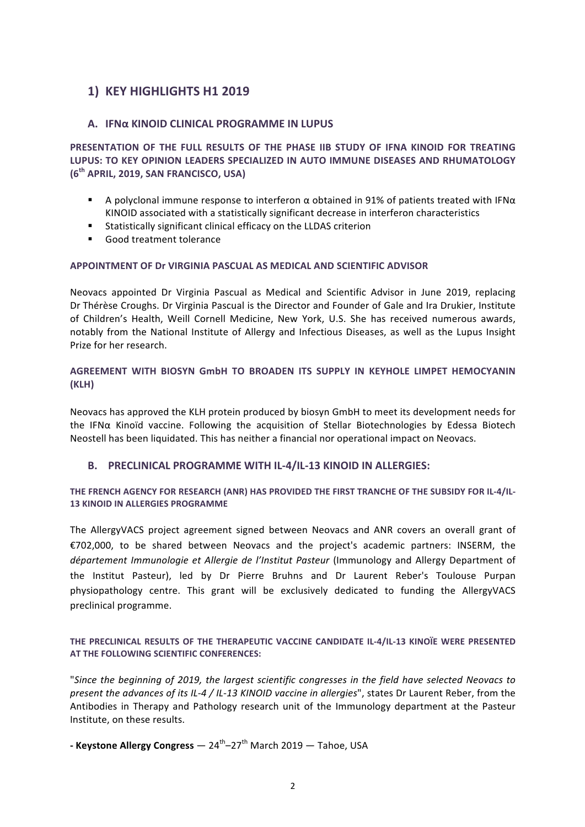# **1) KEY HIGHLIGHTS H1 2019**

## **A. IFNα KINOID CLINICAL PROGRAMME IN LUPUS**

**PRESENTATION OF THE FULL RESULTS OF THE PHASE IIB STUDY OF IFNA KINOID FOR TREATING** LUPUS: TO KEY OPINION LEADERS SPECIALIZED IN AUTO IMMUNE DISEASES AND RHUMATOLOGY **(6th APRIL, 2019, SAN FRANCISCO, USA)**

- A polyclonal immune response to interferon α obtained in 91% of patients treated with IFNα KINOID associated with a statistically significant decrease in interferon characteristics
- Statistically significant clinical efficacy on the LLDAS criterion
- Good treatment tolerance

#### **APPOINTMENT OF Dr VIRGINIA PASCUAL AS MEDICAL AND SCIENTIFIC ADVISOR**

Neovacs appointed Dr Virginia Pascual as Medical and Scientific Advisor in June 2019, replacing Dr Thérèse Croughs. Dr Virginia Pascual is the Director and Founder of Gale and Ira Drukier, Institute of Children's Health, Weill Cornell Medicine, New York, U.S. She has received numerous awards, notably from the National Institute of Allergy and Infectious Diseases, as well as the Lupus Insight Prize for her research.

### **AGREEMENT WITH BIOSYN GmbH TO BROADEN ITS SUPPLY IN KEYHOLE LIMPET HEMOCYANIN (KLH)**

Neovacs has approved the KLH protein produced by biosyn GmbH to meet its development needs for the IFN $\alpha$  Kinoïd vaccine. Following the acquisition of Stellar Biotechnologies by Edessa Biotech Neostell has been liquidated. This has neither a financial nor operational impact on Neovacs.

#### **B.** PRECLINICAL PROGRAMME WITH IL-4/IL-13 KINOID IN ALLERGIES:

#### THE FRENCH AGENCY FOR RESEARCH (ANR) HAS PROVIDED THE FIRST TRANCHE OF THE SUBSIDY FOR IL-4/IL-**13 KINOID IN ALLERGIES PROGRAMME**

The AllergyVACS project agreement signed between Neovacs and ANR covers an overall grant of €702,000, to be shared between Neovacs and the project's academic partners: INSERM, the *département Immunologie et Allergie de l'Institut Pasteur* (Immunology and Allergy Department of the Institut Pasteur), led by Dr Pierre Bruhns and Dr Laurent Reber's Toulouse Purpan physiopathology centre. This grant will be exclusively dedicated to funding the AllergyVACS preclinical programme.

### THE PRECLINICAL RESULTS OF THE THERAPEUTIC VACCINE CANDIDATE IL-4/IL-13 KINOÏE WERE PRESENTED **AT THE FOLLOWING SCIENTIFIC CONFERENCES:**

"Since the beginning of 2019, the largest scientific congresses in the field have selected Neovacs to *present the advances of its IL-4 / IL-13 KINOID vaccine in allergies*", states Dr Laurent Reber, from the Antibodies in Therapy and Pathology research unit of the Immunology department at the Pasteur Institute, on these results.

**- Keystone Allergy Congress** — 24<sup>th</sup>–27<sup>th</sup> March 2019 — Tahoe, USA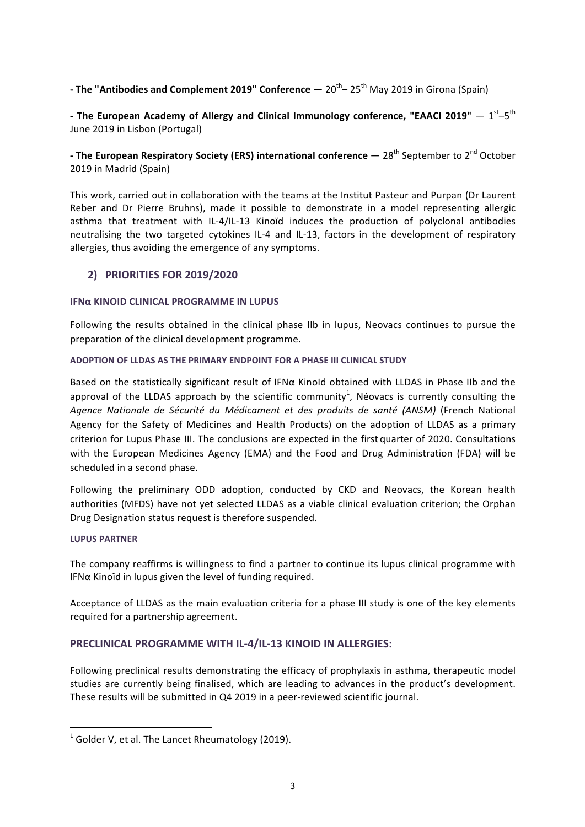# **- The "Antibodies and Complement 2019" Conference** — 20<sup>th</sup>– 25<sup>th</sup> May 2019 in Girona (Spain)

- The European Academy of Allergy and Clinical Immunology conference, "EAACI 2019"  $- 1^{st}-5^{th}$ June 2019 in Lisbon (Portugal)

# **-** The European Respiratory Society (ERS) international conference  $-28^{th}$  September to 2<sup>nd</sup> October 2019 in Madrid (Spain)

This work, carried out in collaboration with the teams at the Institut Pasteur and Purpan (Dr Laurent Reber and Dr Pierre Bruhns), made it possible to demonstrate in a model representing allergic asthma that treatment with IL-4/IL-13 Kinoïd induces the production of polyclonal antibodies neutralising the two targeted cytokines IL-4 and IL-13, factors in the development of respiratory allergies, thus avoiding the emergence of any symptoms.

# **2) PRIORITIES FOR 2019/2020**

#### **IFΝα KINOID CLINICAL PROGRAMME IN LUPUS**

Following the results obtained in the clinical phase IIb in lupus, Neovacs continues to pursue the preparation of the clinical development programme.

### **ADOPTION OF LLDAS AS THE PRIMARY ENDPOINT FOR A PHASE III CLINICAL STUDY**

Based on the statistically significant result of IFN $\alpha$  KinoId obtained with LLDAS in Phase IIb and the approval of the LLDAS approach by the scientific community<sup>1</sup>, Néovacs is currently consulting the *Agence Nationale de Sécurité du Médicament et des produits de santé (ANSM)* (French National Agency for the Safety of Medicines and Health Products) on the adoption of LLDAS as a primary criterion for Lupus Phase III. The conclusions are expected in the first quarter of 2020. Consultations with the European Medicines Agency (EMA) and the Food and Drug Administration (FDA) will be scheduled in a second phase.

Following the preliminary ODD adoption, conducted by CKD and Neovacs, the Korean health authorities (MFDS) have not yet selected LLDAS as a viable clinical evaluation criterion; the Orphan Drug Designation status request is therefore suspended.

#### **LUPUS PARTNER**

The company reaffirms is willingness to find a partner to continue its lupus clinical programme with IFN $\alpha$  Kinoïd in lupus given the level of funding required.

Acceptance of LLDAS as the main evaluation criteria for a phase III study is one of the key elements required for a partnership agreement.

# **PRECLINICAL PROGRAMME WITH IL-4/IL-13 KINOID IN ALLERGIES:**

Following preclinical results demonstrating the efficacy of prophylaxis in asthma, therapeutic model studies are currently being finalised, which are leading to advances in the product's development. These results will be submitted in  $Q4$  2019 in a peer-reviewed scientific journal.

<u> 1989 - Johann Stein, marwolaethau a bh</u>

 $1$  Golder V, et al. The Lancet Rheumatology (2019).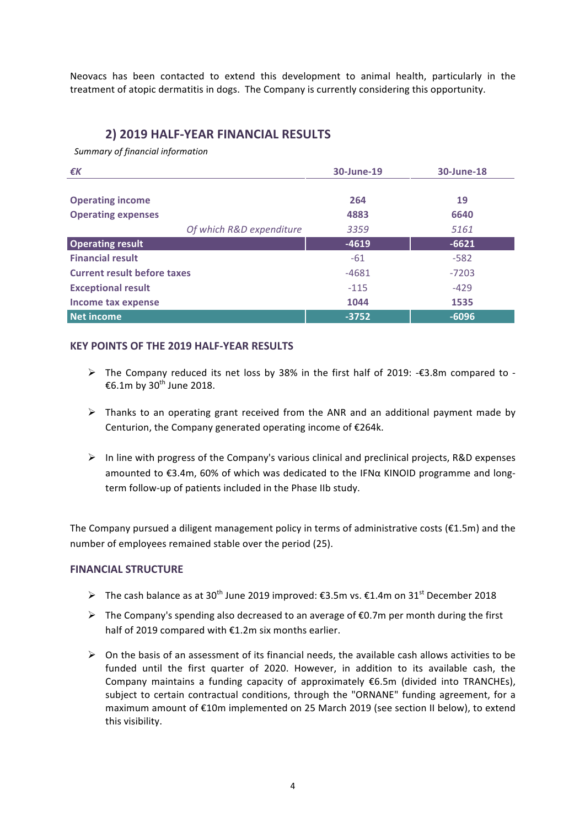Neovacs has been contacted to extend this development to animal health, particularly in the treatment of atopic dermatitis in dogs. The Company is currently considering this opportunity.

# **2) 2019 HALF-YEAR FINANCIAL RESULTS**

*Summary of financial information*

| €K                                 | 30-June-19 | 30-June-18 |
|------------------------------------|------------|------------|
|                                    |            |            |
| <b>Operating income</b>            | 264        | 19         |
| <b>Operating expenses</b>          | 4883       | 6640       |
| Of which R&D expenditure           | 3359       | 5161       |
| <b>Operating result</b>            | $-4619$    | $-6621$    |
| <b>Financial result</b>            | $-61$      | $-582$     |
| <b>Current result before taxes</b> | $-4681$    | $-7203$    |
| <b>Exceptional result</b>          | $-115$     | $-429$     |
| Income tax expense                 | 1044       | 1535       |
| <b>Net income</b>                  | $-3752$    | $-6096$    |

### **KEY POINTS OF THE 2019 HALF-YEAR RESULTS**

- $\triangleright$  The Company reduced its net loss by 38% in the first half of 2019: -€3.8m compared to -€6.1m by 30<sup>th</sup> June 2018.
- $\triangleright$  Thanks to an operating grant received from the ANR and an additional payment made by Centurion, the Company generated operating income of  $E264k$ .
- $\triangleright$  In line with progress of the Company's various clinical and preclinical projects, R&D expenses amounted to €3.4m, 60% of which was dedicated to the IFNα KINOID programme and longterm follow-up of patients included in the Phase IIb study.

The Company pursued a diligent management policy in terms of administrative costs ( $E1.5m$ ) and the number of employees remained stable over the period (25).

#### **FINANCIAL STRUCTURE**

- $▶$  The cash balance as at 30<sup>th</sup> June 2019 improved: €3.5m vs. €1.4m on 31<sup>st</sup> December 2018
- $\triangleright$  The Company's spending also decreased to an average of €0.7m per month during the first half of 2019 compared with  $E1.2m$  six months earlier.
- $\triangleright$  On the basis of an assessment of its financial needs, the available cash allows activities to be funded until the first quarter of 2020. However, in addition to its available cash, the Company maintains a funding capacity of approximately  $€6.5m$  (divided into TRANCHEs), subject to certain contractual conditions, through the "ORNANE" funding agreement, for a maximum amount of €10m implemented on 25 March 2019 (see section II below), to extend this visibility.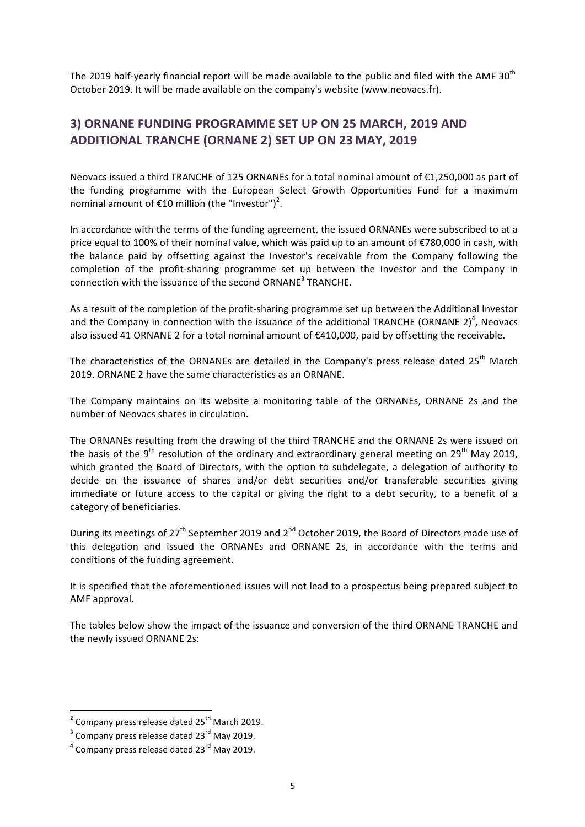The 2019 half-yearly financial report will be made available to the public and filed with the AMF 30<sup>th</sup> October 2019. It will be made available on the company's website (www.neovacs.fr).

# **3) ORNANE FUNDING PROGRAMME SET UP ON 25 MARCH, 2019 AND ADDITIONAL TRANCHE (ORNANE 2) SET UP ON 23 MAY, 2019**

Neovacs issued a third TRANCHE of 125 ORNANEs for a total nominal amount of €1,250,000 as part of the funding programme with the European Select Growth Opportunities Fund for a maximum nominal amount of  $E$ 10 million (the "Investor")<sup>2</sup>.

In accordance with the terms of the funding agreement, the issued ORNANEs were subscribed to at a price equal to 100% of their nominal value, which was paid up to an amount of €780,000 in cash, with the balance paid by offsetting against the Investor's receivable from the Company following the completion of the profit-sharing programme set up between the Investor and the Company in connection with the issuance of the second ORNANE<sup>3</sup> TRANCHE.

As a result of the completion of the profit-sharing programme set up between the Additional Investor and the Company in connection with the issuance of the additional TRANCHE (ORNANE 2)<sup>4</sup>, Neovacs also issued 41 ORNANE 2 for a total nominal amount of €410,000, paid by offsetting the receivable.

The characteristics of the ORNANEs are detailed in the Company's press release dated 25<sup>th</sup> March 2019. ORNANE 2 have the same characteristics as an ORNANE.

The Company maintains on its website a monitoring table of the ORNANEs, ORNANE 2s and the number of Neovacs shares in circulation.

The ORNANEs resulting from the drawing of the third TRANCHE and the ORNANE 2s were issued on the basis of the 9<sup>th</sup> resolution of the ordinary and extraordinary general meeting on 29<sup>th</sup> May 2019, which granted the Board of Directors, with the option to subdelegate, a delegation of authority to decide on the issuance of shares and/or debt securities and/or transferable securities giving immediate or future access to the capital or giving the right to a debt security, to a benefit of a category of beneficiaries.

During its meetings of  $27<sup>th</sup>$  September 2019 and  $2<sup>nd</sup>$  October 2019, the Board of Directors made use of this delegation and issued the ORNANEs and ORNANE 2s, in accordance with the terms and conditions of the funding agreement.

It is specified that the aforementioned issues will not lead to a prospectus being prepared subject to AMF approval.

The tables below show the impact of the issuance and conversion of the third ORNANE TRANCHE and the newly issued ORNANE 2s:

<u> 1989 - Johann Stein, marwolaethau a bh</u>

 $^2$  Company press release dated 25<sup>th</sup> March 2019.

 $3$  Company press release dated 23 $^{\text{rd}}$  May 2019.

 $4$  Company press release dated 23 $^{\text{rd}}$  May 2019.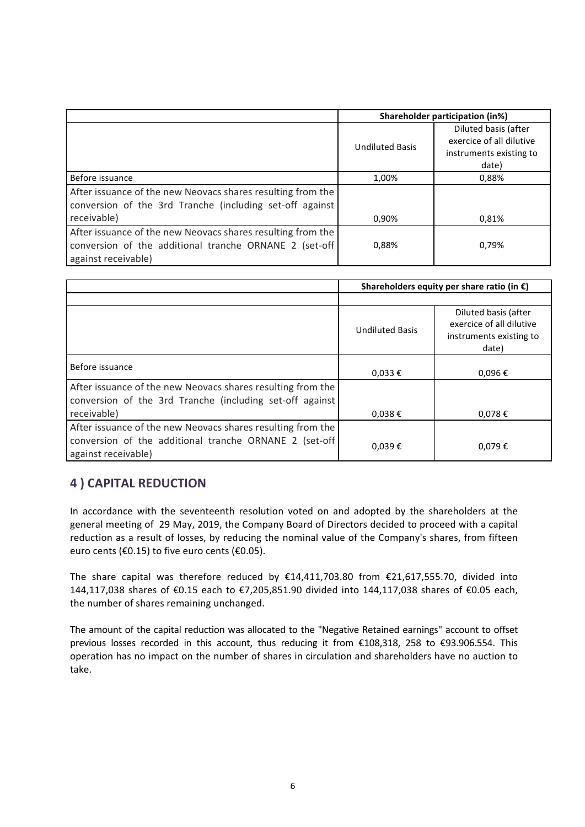|                                                             |                        | Shareholder participation (in%) |  |
|-------------------------------------------------------------|------------------------|---------------------------------|--|
|                                                             |                        | Diluted basis (after            |  |
|                                                             | <b>Undiluted Basis</b> | exercice of all dilutive        |  |
|                                                             |                        | instruments existing to         |  |
|                                                             |                        | date)                           |  |
| Before issuance                                             | 1,00%                  | 0,88%                           |  |
| After issuance of the new Neovacs shares resulting from the |                        |                                 |  |
| conversion of the 3rd Tranche (including set-off against    |                        |                                 |  |
| receivable)                                                 | 0,90%                  | 0,81%                           |  |
| After issuance of the new Neovacs shares resulting from the |                        |                                 |  |
| conversion of the additional tranche ORNANE 2 (set-off      | 0,88%                  | 0.79%                           |  |
| against receivable)                                         |                        |                                 |  |

|                                                                                                                                              | Shareholders equity per share ratio (in $\epsilon$ ) |                                                                                      |
|----------------------------------------------------------------------------------------------------------------------------------------------|------------------------------------------------------|--------------------------------------------------------------------------------------|
|                                                                                                                                              | <b>Undiluted Basis</b>                               | Diluted basis (after<br>exercice of all dilutive<br>instruments existing to<br>date) |
| Before issuance                                                                                                                              | $0,033 \notin$                                       | $0,096 \in$                                                                          |
| After issuance of the new Neovacs shares resulting from the<br>conversion of the 3rd Tranche (including set-off against<br>receivable)       | $0,038 \in$                                          | $0,078 \in$                                                                          |
| After issuance of the new Neovacs shares resulting from the<br>conversion of the additional tranche ORNANE 2 (set-off<br>against receivable) | $0,039 \in$                                          | $0,079 \in$                                                                          |

# **4 ) CAPITAL REDUCTION**

In accordance with the seventeenth resolution voted on and adopted by the shareholders at the general meeting of 29 May, 2019, the Company Board of Directors decided to proceed with a capital reduction as a result of losses, by reducing the nominal value of the Company's shares, from fifteen euro cents ( $\epsilon$ 0.15) to five euro cents ( $\epsilon$ 0.05).

The share capital was therefore reduced by  $£14,411,703.80$  from  $£21,617,555.70$ , divided into 144,117,038 shares of €0.15 each to €7,205,851.90 divided into 144,117,038 shares of €0.05 each, the number of shares remaining unchanged.

The amount of the capital reduction was allocated to the "Negative Retained earnings" account to offset previous losses recorded in this account, thus reducing it from €108,318, 258 to €93.906.554. This operation has no impact on the number of shares in circulation and shareholders have no auction to take.